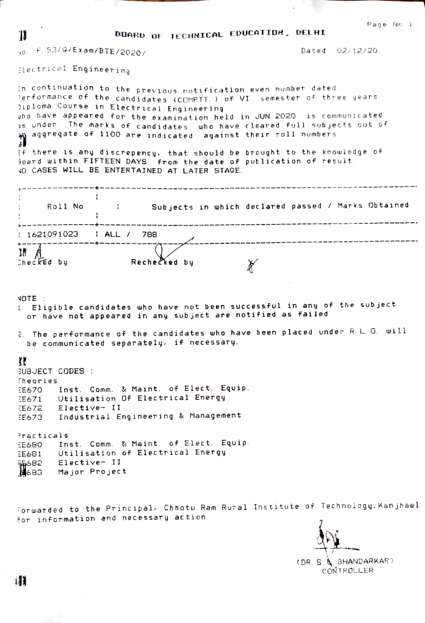RUARD OF TECHNICAL EDUCATION, DELHI

vo. F. 53/G/Exam/BTE/2020/

Dated 02/12/20.

flectrical Engineering

11

In continuation to the previous notification even number dated. Performance of the candidates (COMPTT.) of VI semester of three years )iploma Course in Electrical Engineering pho have appeared for the examination held in JUN 2020 is communicated as under. The marks of candidates who have cleared full subjects out of aggregate of 1100 are indicated against their roll numbers. If there is any discrepency, that should be brought to the knowledge of Board within FIFTEEN DAYS from the date of publication of result. VO CASES WILL BE ENTERTAINED AT LATER STAGE. .<br>In the first theo leng and your company book bank and many area and then with your company will be a company will be a series of the series of the series of the series of the series of the series of the series of the ser : Subjects in which declared passed / Marks Obtained Roll No .<br>In the case of the season and the the theoretical theoretical constant and the case of the case of the case of the case of the case of the case of the case of the case of the case of the case of the case of the case of t | 1621091023 | ALL / 788  $M \land A$ Rechecked by Checked by  $\mathbb{X}$ NOTE: 1. Eligible candidates who have not been successful in any of the subject or have not appeared in any subject are notified as failed 2. The performance of the candidates who have been placed under R.L.O. will be communicated separately, if necessary.

## ŦF

BUBJECT CODES : Theories Inst. Comm. & Maint. of Elect. Equip. EE670 EE671 Utilisation Of Electrical Energy EE672 Elective- II Industrial Engineering & Management  $E673$ 

Practicals EE680 Inst. Comm. & Maint. of Elect. Equip. Utilisation of Electrical Energy  $E681$ gg682 Elective- II<br>∭683 Major Project

Forwarded to the Principal, Chhotu Ram Rural Institute of Technology, Kanjhawl for information and necessary action.

(DR. S. A. BHANDARKAR) CONTROLLER